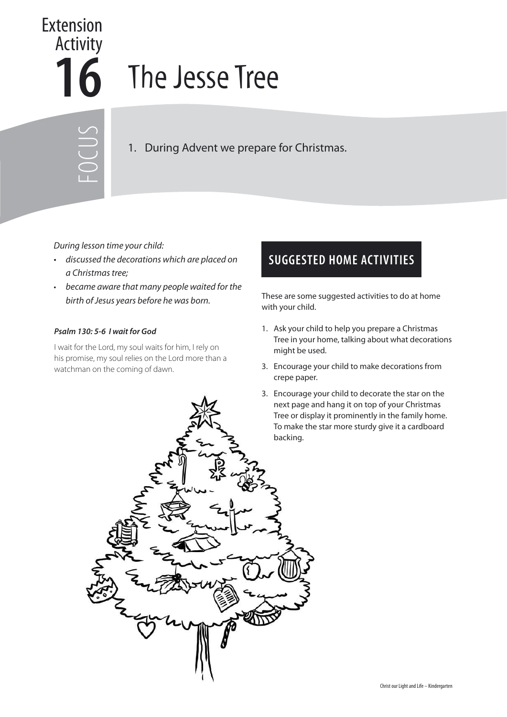## **16** The Jesse Tree Extension Activity

FOCUS

1. During Advent we prepare for Christmas.

## During lesson time your child:

- discussed the decorations which are placed on a Christmas tree;
- became aware that many people waited for the

## **Psalm 130: 5-6 I wait for God**

I wait for the Lord, my soul waits for him, I rely on his promise, my soul relies on the Lord more than a watchman on the coming of dawn.

## **SUGGESTED HOME ACTIVITIES**

birth of Jesus years before he was born. These are some suggested activities to do at home with your child.

- 1. Ask your child to help you prepare a Christmas Tree in your home, talking about what decorations might be used.
- 3. Encourage your child to make decorations from crepe paper.
- 3. Encourage your child to decorate the star on the next page and hang it on top of your Christmas Tree or display it prominently in the family home. To make the star more sturdy give it a cardboard backing.